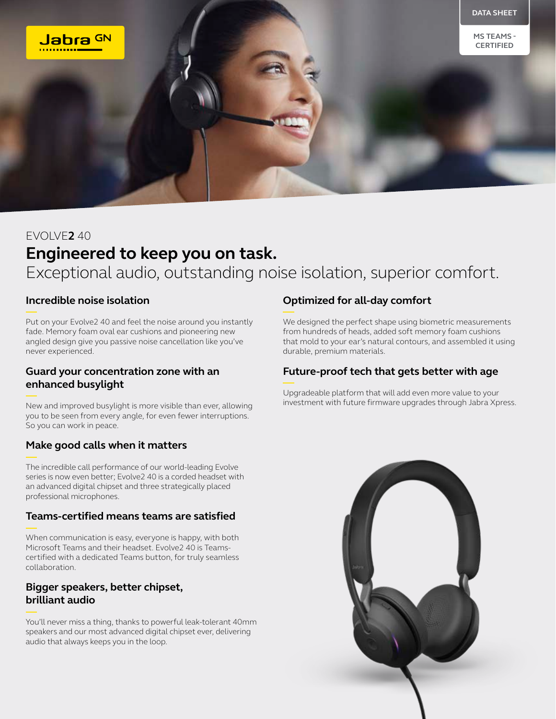

# EVOLVE**2** 40 **Engineered to keep you on task.** Exceptional audio, outstanding noise isolation, superior comfort.

# **Incredible noise isolation**

Put on your Evolve2 40 and feel the noise around you instantly fade. Memory foam oval ear cushions and pioneering new angled design give you passive noise cancellation like you've never experienced.

# **Guard your concentration zone with an enhanced busylight**

New and improved busylight is more visible than ever, allowing you to be seen from every angle, for even fewer interruptions. So you can work in peace.

# **Make good calls when it matters**

The incredible call performance of our world-leading Evolve series is now even better; Evolve2 40 is a corded headset with an advanced digital chipset and three strategically placed professional microphones.

#### **Teams-certified means teams are satisfied**

When communication is easy, everyone is happy, with both Microsoft Teams and their headset. Evolve2 40 is Teamscertified with a dedicated Teams button, for truly seamless collaboration.

# **Bigger speakers, better chipset, brilliant audio**

You'll never miss a thing, thanks to powerful leak-tolerant 40mm speakers and our most advanced digital chipset ever, delivering audio that always keeps you in the loop.

# **Optimized for all-day comfort**

We designed the perfect shape using biometric measurements from hundreds of heads, added soft memory foam cushions that mold to your ear's natural contours, and assembled it using durable, premium materials.

# **Future-proof tech that gets better with age**

Upgradeable platform that will add even more value to your investment with future firmware upgrades through Jabra Xpress.